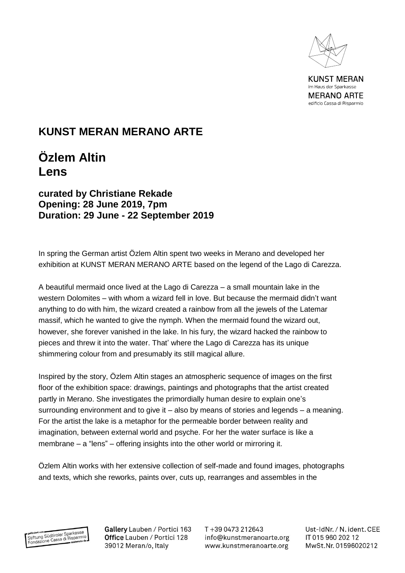

**KUNST MERAN** im Haus der Sparkasse **MERANO ARTE** edificio Cassa di Risparmio

## **KUNST MERAN MERANO ARTE**

## **Özlem Altin Lens**

## **curated by Christiane Rekade Opening: 28 June 2019, 7pm Duration: 29 June - 22 September 2019**

In spring the German artist Özlem Altin spent two weeks in Merano and developed her exhibition at KUNST MERAN MERANO ARTE based on the legend of the Lago di Carezza.

A beautiful mermaid once lived at the Lago di Carezza – a small mountain lake in the western Dolomites – with whom a wizard fell in love. But because the mermaid didn't want anything to do with him, the wizard created a rainbow from all the jewels of the Latemar massif, which he wanted to give the nymph. When the mermaid found the wizard out, however, she forever vanished in the lake. In his fury, the wizard hacked the rainbow to pieces and threw it into the water. That' where the Lago di Carezza has its unique shimmering colour from and presumably its still magical allure.

Inspired by the story, Özlem Altin stages an atmospheric sequence of images on the first floor of the exhibition space: drawings, paintings and photographs that the artist created partly in Merano. She investigates the primordially human desire to explain one's surrounding environment and to give it – also by means of stories and legends – a meaning. For the artist the lake is a metaphor for the permeable border between reality and imagination, between external world and psyche. For her the water surface is like a membrane – a "lens" – offering insights into the other world or mirroring it.

Özlem Altin works with her extensive collection of self-made and found images, photographs and texts, which she reworks, paints over, cuts up, rearranges and assembles in the



Gallery Lauben / Portici 163 Office Lauben / Portici 128 39012 Meran/o, Italy

T+39 0473 212643 info@kunstmeranoarte.org www.kunstmeranoarte.org

Ust-IdNr. / N. ident. CEE IT 015 960 202 12 MwSt.Nr. 01596020212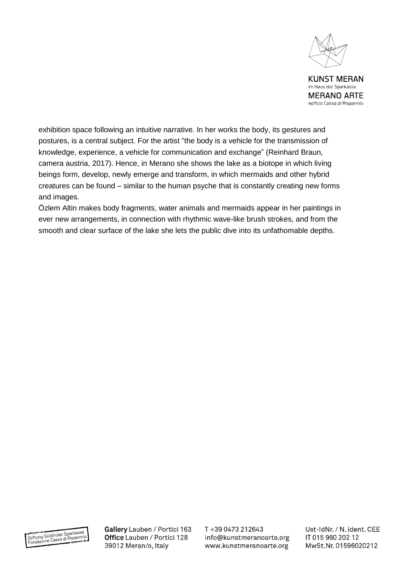

**KUNST MERAN** im Haus der Sparkasse **MERANO ARTE** edificio Cassa di Risparmio

exhibition space following an intuitive narrative. In her works the body, its gestures and postures, is a central subject. For the artist "the body is a vehicle for the transmission of knowledge, experience, a vehicle for communication and exchange" (Reinhard Braun, camera austria, 2017). Hence, in Merano she shows the lake as a biotope in which living beings form, develop, newly emerge and transform, in which mermaids and other hybrid creatures can be found – similar to the human psyche that is constantly creating new forms and images.

Özlem Altin makes body fragments, water animals and mermaids appear in her paintings in ever new arrangements, in connection with rhythmic wave-like brush strokes, and from the smooth and clear surface of the lake she lets the public dive into its unfathomable depths.



Gallery Lauben / Portici 163 Office Lauben / Portici 128 39012 Meran/o, Italy

T+39 0473 212643 info@kunstmeranoarte.org www.kunstmeranoarte.org Ust-IdNr. / N. ident. CEE IT 015 960 202 12 MwSt.Nr. 01596020212